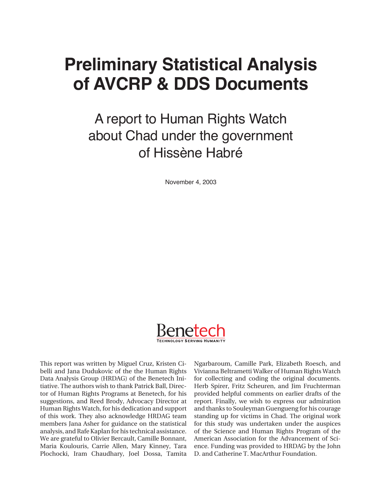# **Preliminary Statistical Analysis of AVCRP & DDS Documents**

# A report to Human Rights Watch about Chad under the government of Hissène Habré

November 4, 2003



This report was written by Miguel Cruz, Kristen Cibelli and Jana Dudukovic of the the Human Rights Data Analysis Group (HRDAG) of the Benetech Initiative. The authors wish to thank Patrick Ball, Director of Human Rights Programs at Benetech, for his suggestions, and Reed Brody, Advocacy Director at Human Rights Watch, for his dedication and support of this work. They also acknowledge HRDAG team members Jana Asher for guidance on the statistical analysis, and Rafe Kaplan for his technical assistance. We are grateful to Olivier Bercault, Camille Bonnant, Maria Koulouris, Carrie Allen, Mary Kinney, Tara Plochocki, Iram Chaudhary, Joel Dossa, Tamita

Ngarbaroum, Camille Park, Elizabeth Roesch, and Vivianna Beltrametti Walker of Human Rights Watch for collecting and coding the original documents. Herb Spirer, Fritz Scheuren, and Jim Fruchterman provided helpful comments on earlier drafts of the report. Finally, we wish to express our admiration and thanks to Souleyman Guengueng for his courage standing up for victims in Chad. The original work for this study was undertaken under the auspices of the Science and Human Rights Program of the American Association for the Advancement of Science. Funding was provided to HRDAG by the John D. and Catherine T. MacArthur Foundation.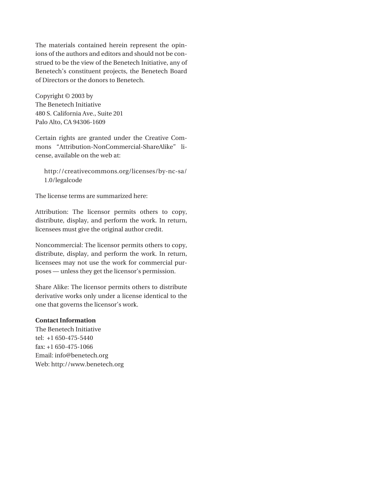The materials contained herein represent the opinions of the authors and editors and should not be construed to be the view of the Benetech Initiative, any of Benetech's constituent projects, the Benetech Board of Directors or the donors to Benetech.

Copyright © 2003 by The Benetech Initiative 480 S. California Ave., Suite 201 Palo Alto, CA 94306-1609

Certain rights are granted under the Creative Commons "Attribution-NonCommercial-ShareAlike" license, available on the web at:

http://creativecommons.org/licenses/by-nc-sa/ 1.0/legalcode

The license terms are summarized here:

Attribution: The licensor permits others to copy, distribute, display, and perform the work. In return, licensees must give the original author credit.

Noncommercial: The licensor permits others to copy, distribute, display, and perform the work. In return, licensees may not use the work for commercial purposes — unless they get the licensor's permission.

Share Alike: The licensor permits others to distribute derivative works only under a license identical to the one that governs the licensor's work.

### **Contact Information**

The Benetech Initiative tel: +1 650-475-5440 fax: +1 650-475-1066 Email: info@benetech.org Web: http://www.benetech.org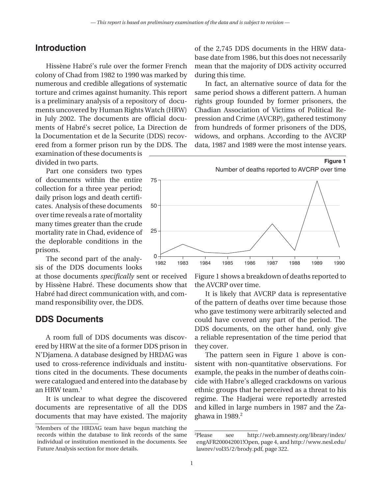## **Introduction**

Hissène Habré's rule over the former French colony of Chad from 1982 to 1990 was marked by numerous and credible allegations of systematic torture and crimes against humanity. This report is a preliminary analysis of a repository of documents uncovered by Human Rights Watch (HRW) in July 2002. The documents are official documents of Habré's secret police, La Direction de la Documentation et de la Securite (DDS) recovered from a former prison run by the DDS. The examination of these documents is

divided in two parts.

Part one considers two types of documents within the entire collection for a three year period; daily prison logs and death certificates. Analysis of these documents over time reveals a rate of mortality many times greater than the crude mortality rate in Chad, evidence of the deplorable conditions in the prisons.

The second part of the analysis of the DDS documents looks

at those documents *specifically* sent or received by Hissène Habré. These documents show that Habré had direct communication with, and command responsibility over, the DDS.

## **DDS Documents**

A room full of DDS documents was discovered by HRW at the site of a former DDS prison in N'Djamena. A database designed by HRDAG was used to cross-reference individuals and institutions cited in the documents. These documents were catalogued and entered into the database by an HRW team.<sup>1</sup>

It is unclear to what degree the discovered documents are representative of all the DDS documents that may have existed. The majority

of the 2,745 DDS documents in the HRW database date from 1986, but this does not necessarily mean that the majority of DDS activity occurred during this time.

In fact, an alternative source of data for the same period shows a different pattern. A human rights group founded by former prisoners, the Chadian Association of Victims of Political Repression and Crime (AVCRP), gathered testimony from hundreds of former prisoners of the DDS, widows, and orphans. According to the AVCRP data, 1987 and 1989 were the most intense years.



Figure 1 shows a breakdown of deaths reported to the AVCRP over time.

It is likely that AVCRP data is representative of the pattern of deaths over time because those who gave testimony were arbitrarily selected and could have covered any part of the period. The DDS documents, on the other hand, only give a reliable representation of the time period that they cover.

The pattern seen in Figure 1 above is consistent with non-quantitative observations. For example, the peaks in the number of deaths coincide with Habre's alleged crackdowns on various ethnic groups that he perceived as a threat to his regime. The Hadjerai were reportedly arrested and killed in large numbers in 1987 and the Zaghawa in  $1989.<sup>2</sup>$ 

<sup>1</sup> Members of the HRDAG team have begun matching the records within the database to link records of the same individual or institution mentioned in the documents. See Future Analysis section for more details.

<sup>&</sup>lt;sup>2</sup>Please see http://web.amnesty.org/library/index/ engAFR200042001!Open, page 4, and http://www.nesl.edu/ lawrev/vol35/2/brody.pdf, page 322.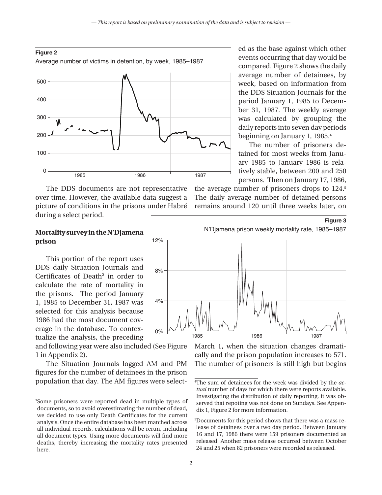#### **Figure 2**

Average number of victims in detention, by week, 1985–1987



The DDS documents are not representative over time. However, the available data suggest a picture of conditions in the prisons under Habré during a select period.

### **Mortality survey in the N'Djamena prison**

This portion of the report uses DDS daily Situation Journals and Certificates of Death<sup>3</sup> in order to calculate the rate of mortality in the prisons. The period January 1, 1985 to December 31, 1987 was selected for this analysis because 1986 had the most document coverage in the database. To contextualize the analysis, the preceding

and following year were also included (See Figure 1 in Appendix 2).

The Situation Journals logged AM and PM figures for the number of detainees in the prison population that day. The AM figures were selected as the base against which other events occurring that day would be compared. Figure 2 shows the daily average number of detainees, by week, based on information from the DDS Situation Journals for the period January 1, 1985 to December 31, 1987. The weekly average was calculated by grouping the daily reports into seven day periods beginning on January 1, 1985.<sup>4</sup>

The number of prisoners detained for most weeks from January 1985 to January 1986 is relatively stable, between 200 and 250 persons. Then on January 17, 1986,

the average number of prisoners drops to 124.<sup>5</sup> The daily average number of detained persons remains around 120 until three weeks later, on

#### **Figure 3**



March 1, when the situation changes dramatically and the prison population increases to 571. The number of prisoners is still high but begins

<sup>3</sup> Some prisoners were reported dead in multiple types of documents, so to avoid overestimating the number of dead, we decided to use only Death Certificates for the current analysis. Once the entire database has been matched across all individual records, calculations will be rerun, including all document types. Using more documents will find more deaths, thereby increasing the mortality rates presented here.

<sup>4</sup> The sum of detainees for the week was divided by the *actual* number of days for which there were reports available. Investigating the distribution of daily reporting, it was observed that repoting was not done on Sundays. See Appendix 1, Figure 2 for more information.

<sup>5</sup> Documents for this period shows that there was a mass release of detainees over a two day period. Between January 16 and 17, 1986 there were 159 prisoners documented as released. Another mass release occurred between October 24 and 25 when 82 prisoners were recorded as released.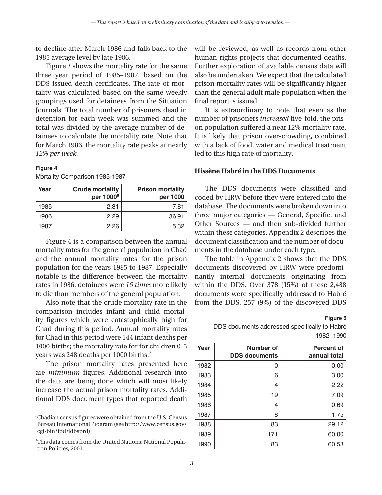to decline after March 1986 and falls back to the 1985 average level by late 1986.

Figure 3 shows the mortality rate for the same three year period of 1985–1987, based on the DDS-issued death certificates. The rate of mortality was calculated based on the same weekly groupings used for detainees from the Situation Journals. The total number of prisoners dead in detention for each week was summed and the total was divided by the average number of detainees to calculate the mortality rate. Note that for March 1986, the mortality rate peaks at nearly *12% per week.* 

#### **Figure 4**

| Year | <b>Crude mortality</b><br>per 1000 <sup>6</sup> | <b>Prison mortality</b><br>per 1000 |  |  |
|------|-------------------------------------------------|-------------------------------------|--|--|
| 1985 | 2.31                                            | 7.81                                |  |  |
| 1986 | 2.29                                            | 36.91                               |  |  |
| 1987 | 2.26                                            | 5.32                                |  |  |

Mortality Comparison 1985-1987

Figure 4 is a comparison between the annual mortality rates for the general population in Chad and the annual mortality rates for the prison population for the years 1985 to 1987. Especially notable is the difference between the mortality rates in 1986; detainees were *16 times* more likely to die than members of the general population.

Also note that the crude mortality rate in the comparison includes infant and child mortality figures which were catastophically high for Chad during this period. Annual mortality rates for Chad in this period were 144 infant deaths per 1000 births; the mortality rate for for children 0-5 years was 248 deaths per 1000 births.<sup>7</sup>

The prison mortality rates presented here are *minimum* figures. Additional research into the data are being done which will most likely increase the actual prison mortality rates. Additional DDS document types that reported death

will be reviewed, as well as records from other human rights projects that documented deaths. Further exploration of available census data will also be undertaken. We expect that the calculated prison mortality rates will be significantly higher than the general adult male population when the final report is issued.

It is extraordinary to note that even as the number of prisoners *increased* five-fold, the prison population suffered a near 12% mortality rate. It is likely that prison over-crowding, combined with a lack of food, water and medical treatment led to this high rate of mortality.

#### **Hissène Habré in the DDS Documents**

The DDS documents were classified and coded by HRW before they were entered into the database. The documents were broken down into three major categories — General, Specific, and Other Sources — and then sub-divided further within these categories. Appendix 2 describes the document classification and the number of documents in the database under each type.

The table in Appendix 2 shows that the DDS documents discovered by HRW were predominantly internal documents originating from within the DDS. Over 378 (15%) of these 2,488 documents were specifically addressed to Habré from the DDS. 257 (9%) of the discovered DDS

> DDS documents addressed specifically to Habré 1982–1990

**Figure 5**

| Year | Number of<br><b>DDS</b> documents | Percent of<br>annual total |
|------|-----------------------------------|----------------------------|
| 1982 | 0                                 | 0.00                       |
| 1983 | 6                                 | 3.00                       |
| 1984 | 4                                 | 2.22                       |
| 1985 | 19                                | 7.09                       |
| 1986 | 4                                 | 0.69                       |
| 1987 | 8                                 | 1.75                       |
| 1988 | 83                                | 29.12                      |
| 1989 | 171                               | 60.00                      |
| 1990 | 83                                | 60.58                      |

<sup>6</sup> Chadian census figures were obtained from the U.S. Census Bureau International Program (see http://www.census.gov/ cgi-bin/ipd/idbsprd).

<sup>7</sup> This data comes from the United Nations: National Population Policies, 2001.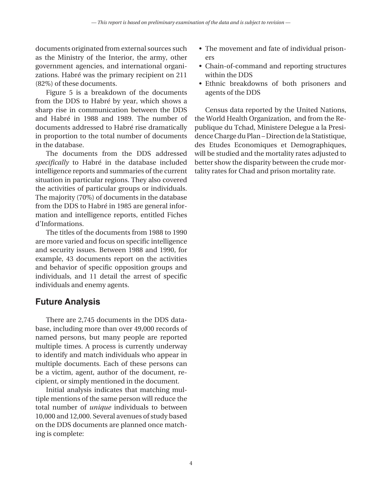documents originated from external sources such as the Ministry of the Interior, the army, other government agencies, and international organizations. Habré was the primary recipient on 211 (82%) of these documents.

Figure 5 is a breakdown of the documents from the DDS to Habré by year, which shows a sharp rise in communication between the DDS and Habré in 1988 and 1989. The number of documents addressed to Habré rise dramatically in proportion to the total number of documents in the database.

The documents from the DDS addressed *specifically* to Habré in the database included intelligence reports and summaries of the current situation in particular regions. They also covered the activities of particular groups or individuals. The majority (70%) of documents in the database from the DDS to Habré in 1985 are general information and intelligence reports, entitled Fiches d'Informations.

The titles of the documents from 1988 to 1990 are more varied and focus on specific intelligence and security issues. Between 1988 and 1990, for example, 43 documents report on the activities and behavior of specific opposition groups and individuals, and 11 detail the arrest of specific individuals and enemy agents.

## **Future Analysis**

There are 2,745 documents in the DDS database, including more than over 49,000 records of named persons, but many people are reported multiple times. A process is currently underway to identify and match individuals who appear in multiple documents. Each of these persons can be a victim, agent, author of the document, recipient, or simply mentioned in the document.

Initial analysis indicates that matching multiple mentions of the same person will reduce the total number of *unique* individuals to between 10,000 and 12,000. Several avenues of study based on the DDS documents are planned once matching is complete:

- The movement and fate of individual prisoners
- Chain-of-command and reporting structures within the DDS
- Ethnic breakdowns of both prisoners and agents of the DDS

Census data reported by the United Nations, the World Health Organization, and from the Republique du Tchad, Ministere Delegue a la Presidence Charge du Plan – Direction de la Statistique, des Etudes Economiques et Demographiques, will be studied and the mortality rates adjusted to better show the disparity between the crude mortality rates for Chad and prison mortality rate.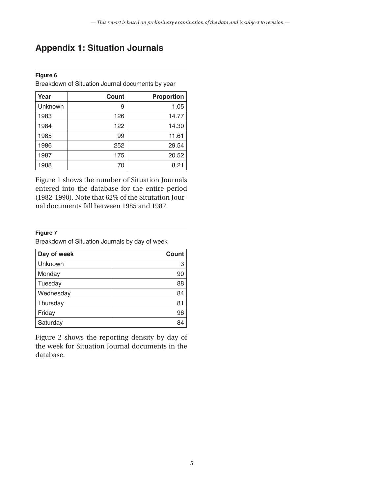# **Appendix 1: Situation Journals**

#### **Figure 6**

Breakdown of Situation Journal documents by year

| Year    | Count | <b>Proportion</b> |
|---------|-------|-------------------|
| Unknown | 9     | 1.05              |
| 1983    | 126   | 14.77             |
| 1984    | 122   | 14.30             |
| 1985    | 99    | 11.61             |
| 1986    | 252   | 29.54             |
| 1987    | 175   | 20.52             |
| 1988    | 70    | 8.21              |

Figure 1 shows the number of Situation Journals entered into the database for the entire period (1982-1990). Note that 62% of the Situtation Journal documents fall between 1985 and 1987.

#### **Figure 7**

Breakdown of Situation Journals by day of week

| Day of week | Count |
|-------------|-------|
| Unknown     | 3     |
| Monday      | 90    |
| Tuesday     | 88    |
| Wednesday   | 84    |
| Thursday    | 81    |
| Friday      | 96    |
| Saturday    | 84    |

Figure 2 shows the reporting density by day of the week for Situation Journal documents in the database.